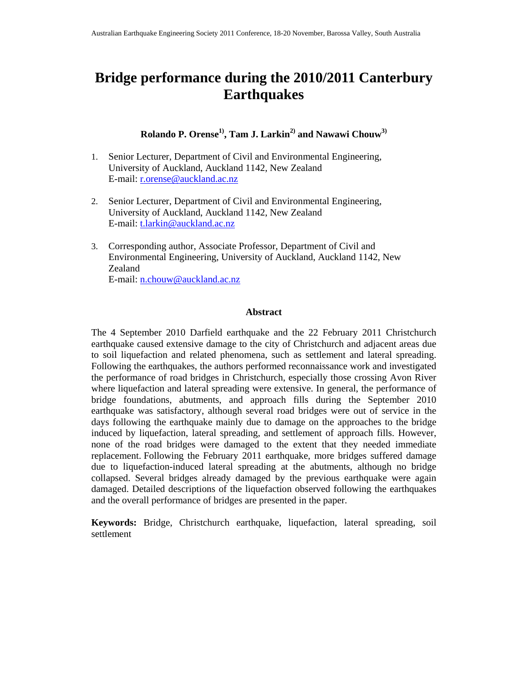# **Bridge performance during the 2010/2011 Canterbury Earthquakes**

## Rolando P. Orense<sup>1)</sup>, Tam J. Larkin<sup>2)</sup> and Nawawi Chouw<sup>3)</sup>

- 1. Senior Lecturer, Department of Civil and Environmental Engineering, University of Auckland, Auckland 1142, New Zealand E-mail: r.orense@auckland.ac.nz
- 2. Senior Lecturer, Department of Civil and Environmental Engineering, University of Auckland, Auckland 1142, New Zealand E-mail: t.larkin@auckland.ac.nz
- 3. Corresponding author, Associate Professor, Department of Civil and Environmental Engineering, University of Auckland, Auckland 1142, New Zealand E-mail: n.chouw@auckland.ac.nz

#### **Abstract**

The 4 September 2010 Darfield earthquake and the 22 February 2011 Christchurch earthquake caused extensive damage to the city of Christchurch and adjacent areas due to soil liquefaction and related phenomena, such as settlement and lateral spreading. Following the earthquakes, the authors performed reconnaissance work and investigated the performance of road bridges in Christchurch, especially those crossing Avon River where liquefaction and lateral spreading were extensive. In general, the performance of bridge foundations, abutments, and approach fills during the September 2010 earthquake was satisfactory, although several road bridges were out of service in the days following the earthquake mainly due to damage on the approaches to the bridge induced by liquefaction, lateral spreading, and settlement of approach fills. However, none of the road bridges were damaged to the extent that they needed immediate replacement. Following the February 2011 earthquake, more bridges suffered damage due to liquefaction-induced lateral spreading at the abutments, although no bridge collapsed. Several bridges already damaged by the previous earthquake were again damaged. Detailed descriptions of the liquefaction observed following the earthquakes and the overall performance of bridges are presented in the paper.

**Keywords:** Bridge, Christchurch earthquake, liquefaction, lateral spreading, soil settlement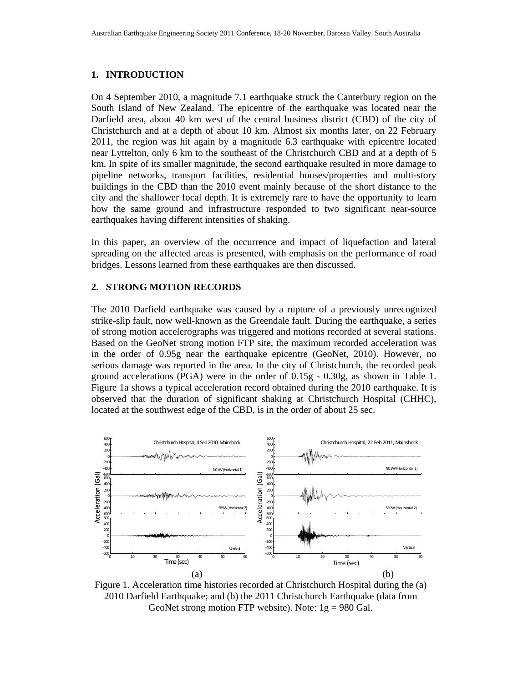#### **1. INTRODUCTION**

On 4 September 2010, a magnitude 7.1 earthquake struck the Canterbury region on the South Island of New Zealand. The epicentre of the earthquake was located near the Darfield area, about 40 km west of the central business district (CBD) of the city of Christchurch and at a depth of about 10 km. Almost six months later, on 22 February 2011, the region was hit again by a magnitude 6.3 earthquake with epicentre located near Lyttelton, only 6 km to the southeast of the Christchurch CBD and at a depth of 5 km. In spite of its smaller magnitude, the second earthquake resulted in more damage to pipeline networks, transport facilities, residential houses/properties and multi-story buildings in the CBD than the 2010 event mainly because of the short distance to the city and the shallower focal depth. It is extremely rare to have the opportunity to learn how the same ground and infrastructure responded to two significant near-source earthquakes having different intensities of shaking.

In this paper, an overview of the occurrence and impact of liquefaction and lateral spreading on the affected areas is presented, with emphasis on the performance of road bridges. Lessons learned from these earthquakes are then discussed.

#### **2. STRONG MOTION RECORDS**

The 2010 Darfield earthquake was caused by a rupture of a previously unrecognized strike-slip fault, now well-known as the Greendale fault. During the earthquake, a series of strong motion accelerographs was triggered and motions recorded at several stations. Based on the GeoNet strong motion FTP site, the maximum recorded acceleration was in the order of 0.95g near the earthquake epicentre (GeoNet, 2010). However, no serious damage was reported in the area. In the city of Christchurch, the recorded peak ground accelerations (PGA) were in the order of 0.15g - 0.30g, as shown in Table 1. Figure 1a shows a typical acceleration record obtained during the 2010 earthquake. It is observed that the duration of significant shaking at Christchurch Hospital (CHHC), located at the southwest edge of the CBD, is in the order of about 25 sec.



Figure 1. Acceleration time histories recorded at Christchurch Hospital during the (a) 2010 Darfield Earthquake; and (b) the 2011 Christchurch Earthquake (data from GeoNet strong motion FTP website). Note:  $1g = 980$  Gal.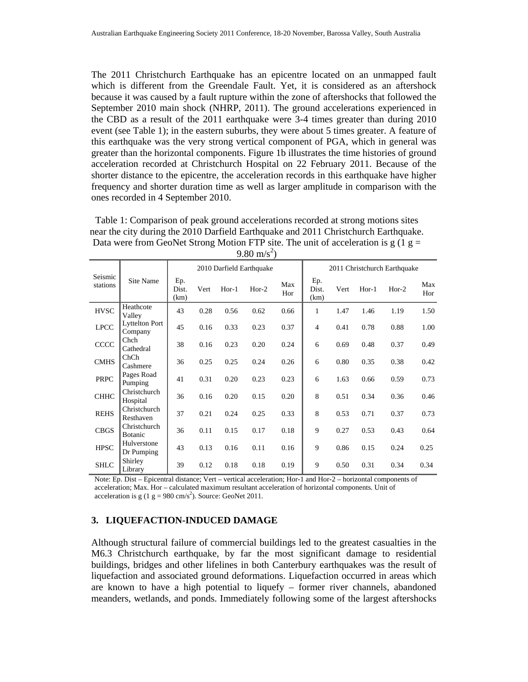The 2011 Christchurch Earthquake has an epicentre located on an unmapped fault which is different from the Greendale Fault. Yet, it is considered as an aftershock because it was caused by a fault rupture within the zone of aftershocks that followed the September 2010 main shock (NHRP, 2011). The ground accelerations experienced in the CBD as a result of the 2011 earthquake were 3-4 times greater than during 2010 event (see Table 1); in the eastern suburbs, they were about 5 times greater. A feature of this earthquake was the very strong vertical component of PGA, which in general was greater than the horizontal components. Figure 1b illustrates the time histories of ground acceleration recorded at Christchurch Hospital on 22 February 2011. Because of the shorter distance to the epicentre, the acceleration records in this earthquake have higher frequency and shorter duration time as well as larger amplitude in comparison with the ones recorded in 4 September 2010.

Table 1: Comparison of peak ground accelerations recorded at strong motions sites near the city during the 2010 Darfield Earthquake and 2011 Christchurch Earthquake. Data were from GeoNet Strong Motion FTP site. The unit of acceleration is  $g(1 g =$ 9.80 m/s<sup>2</sup>)

| Seismic<br>stations | Site Name                        | 2010 Darfield Earthquake |      |         |         |            | 2011 Christchurch Earthquake |      |         |         |            |
|---------------------|----------------------------------|--------------------------|------|---------|---------|------------|------------------------------|------|---------|---------|------------|
|                     |                                  | Ep.<br>Dist.<br>(km)     | Vert | $Hor-1$ | $Hor-2$ | Max<br>Hor | Ep.<br>Dist.<br>(km)         | Vert | $Hor-1$ | $Hor-2$ | Max<br>Hor |
| <b>HVSC</b>         | Heathcote<br>Valley              | 43                       | 0.28 | 0.56    | 0.62    | 0.66       | 1                            | 1.47 | 1.46    | 1.19    | 1.50       |
| <b>LPCC</b>         | <b>Lyttelton Port</b><br>Company | 45                       | 0.16 | 0.33    | 0.23    | 0.37       | $\overline{4}$               | 0.41 | 0.78    | 0.88    | 1.00       |
| CCCC                | Chch<br>Cathedral                | 38                       | 0.16 | 0.23    | 0.20    | 0.24       | 6                            | 0.69 | 0.48    | 0.37    | 0.49       |
| <b>CMHS</b>         | ChCh<br>Cashmere                 | 36                       | 0.25 | 0.25    | 0.24    | 0.26       | 6                            | 0.80 | 0.35    | 0.38    | 0.42       |
| <b>PRPC</b>         | Pages Road<br>Pumping            | 41                       | 0.31 | 0.20    | 0.23    | 0.23       | 6                            | 1.63 | 0.66    | 0.59    | 0.73       |
| <b>CHHC</b>         | Christchurch<br>Hospital         | 36                       | 0.16 | 0.20    | 0.15    | 0.20       | 8                            | 0.51 | 0.34    | 0.36    | 0.46       |
| <b>REHS</b>         | Christchurch<br>Resthaven        | 37                       | 0.21 | 0.24    | 0.25    | 0.33       | 8                            | 0.53 | 0.71    | 0.37    | 0.73       |
| <b>CBGS</b>         | Christchurch<br><b>B</b> otanic  | 36                       | 0.11 | 0.15    | 0.17    | 0.18       | $\overline{9}$               | 0.27 | 0.53    | 0.43    | 0.64       |
| <b>HPSC</b>         | Hulverstone<br>Dr Pumping        | 43                       | 0.13 | 0.16    | 0.11    | 0.16       | $\overline{9}$               | 0.86 | 0.15    | 0.24    | 0.25       |
| <b>SHLC</b>         | Shirley<br>Library               | 39                       | 0.12 | 0.18    | 0.18    | 0.19       | 9                            | 0.50 | 0.31    | 0.34    | 0.34       |

Note: Ep. Dist – Epicentral distance; Vert – vertical acceleration; Hor-1 and Hor-2 – horizontal components of acceleration; Max. Hor – calculated maximum resultant acceleration of horizontal components. Unit of acceleration is g (1 g = 980 cm/s<sup>2</sup>). Source: GeoNet 2011.

#### **3. LIQUEFACTION-INDUCED DAMAGE**

Although structural failure of commercial buildings led to the greatest casualties in the M6.3 Christchurch earthquake, by far the most significant damage to residential buildings, bridges and other lifelines in both Canterbury earthquakes was the result of liquefaction and associated ground deformations. Liquefaction occurred in areas which are known to have a high potential to liquefy – former river channels, abandoned meanders, wetlands, and ponds. Immediately following some of the largest aftershocks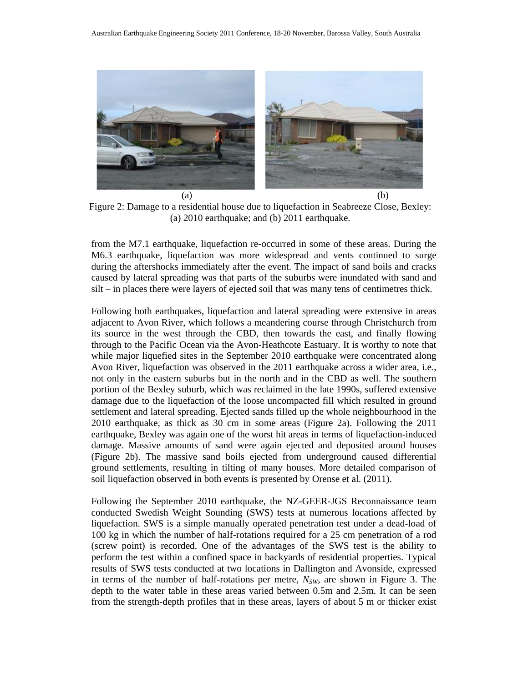

Figure 2: Damage to a residential house due to liquefaction in Seabreeze Close, Bexley: (a) 2010 earthquake; and (b) 2011 earthquake.

from the M7.1 earthquake, liquefaction re-occurred in some of these areas. During the M6.3 earthquake, liquefaction was more widespread and vents continued to surge during the aftershocks immediately after the event. The impact of sand boils and cracks caused by lateral spreading was that parts of the suburbs were inundated with sand and silt – in places there were layers of ejected soil that was many tens of centimetres thick.

Following both earthquakes, liquefaction and lateral spreading were extensive in areas adjacent to Avon River, which follows a meandering course through Christchurch from its source in the west through the CBD, then towards the east, and finally flowing through to the Pacific Ocean via the Avon-Heathcote Eastuary. It is worthy to note that while major liquefied sites in the September 2010 earthquake were concentrated along Avon River, liquefaction was observed in the 2011 earthquake across a wider area, i.e., not only in the eastern suburbs but in the north and in the CBD as well. The southern portion of the Bexley suburb, which was reclaimed in the late 1990s, suffered extensive damage due to the liquefaction of the loose uncompacted fill which resulted in ground settlement and lateral spreading. Ejected sands filled up the whole neighbourhood in the 2010 earthquake, as thick as 30 cm in some areas (Figure 2a). Following the 2011 earthquake, Bexley was again one of the worst hit areas in terms of liquefaction-induced damage. Massive amounts of sand were again ejected and deposited around houses (Figure 2b). The massive sand boils ejected from underground caused differential ground settlements, resulting in tilting of many houses. More detailed comparison of soil liquefaction observed in both events is presented by Orense et al. (2011).

Following the September 2010 earthquake, the NZ-GEER-JGS Reconnaissance team conducted Swedish Weight Sounding (SWS) tests at numerous locations affected by liquefaction. SWS is a simple manually operated penetration test under a dead-load of 100 kg in which the number of half-rotations required for a 25 cm penetration of a rod (screw point) is recorded. One of the advantages of the SWS test is the ability to perform the test within a confined space in backyards of residential properties. Typical results of SWS tests conducted at two locations in Dallington and Avonside, expressed in terms of the number of half-rotations per metre,  $N_{SW}$ , are shown in Figure 3. The depth to the water table in these areas varied between 0.5m and 2.5m. It can be seen from the strength-depth profiles that in these areas, layers of about 5 m or thicker exist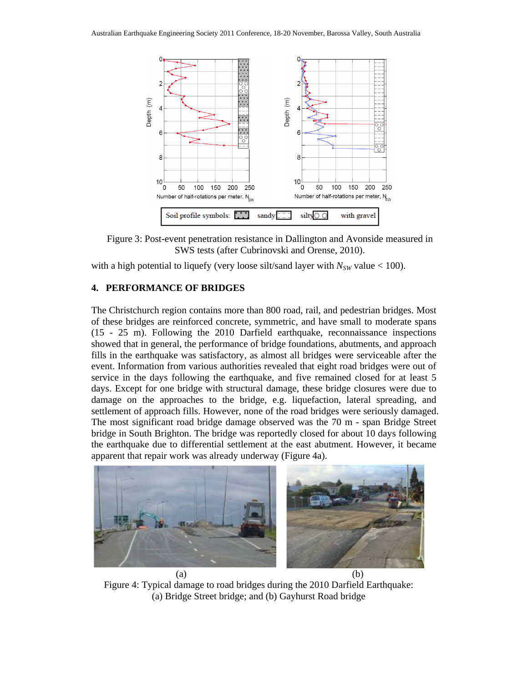

Figure 3: Post-event penetration resistance in Dallington and Avonside measured in SWS tests (after Cubrinovski and Orense, 2010).

with a high potential to liquefy (very loose silt/sand layer with  $N_{SW}$  value  $< 100$ ).

#### **4. PERFORMANCE OF BRIDGES**

The Christchurch region contains more than 800 road, rail, and pedestrian bridges. Most of these bridges are reinforced concrete, symmetric, and have small to moderate spans (15 - 25 m). Following the 2010 Darfield earthquake, reconnaissance inspections showed that in general, the performance of bridge foundations, abutments, and approach fills in the earthquake was satisfactory, as almost all bridges were serviceable after the event. Information from various authorities revealed that eight road bridges were out of service in the days following the earthquake, and five remained closed for at least 5 days. Except for one bridge with structural damage, these bridge closures were due to damage on the approaches to the bridge, e.g. liquefaction, lateral spreading, and settlement of approach fills. However, none of the road bridges were seriously damaged. The most significant road bridge damage observed was the 70 m - span Bridge Street bridge in South Brighton. The bridge was reportedly closed for about 10 days following the earthquake due to differential settlement at the east abutment. However, it became apparent that repair work was already underway (Figure 4a).



Figure 4: Typical damage to road bridges during the 2010 Darfield Earthquake: (a) Bridge Street bridge; and (b) Gayhurst Road bridge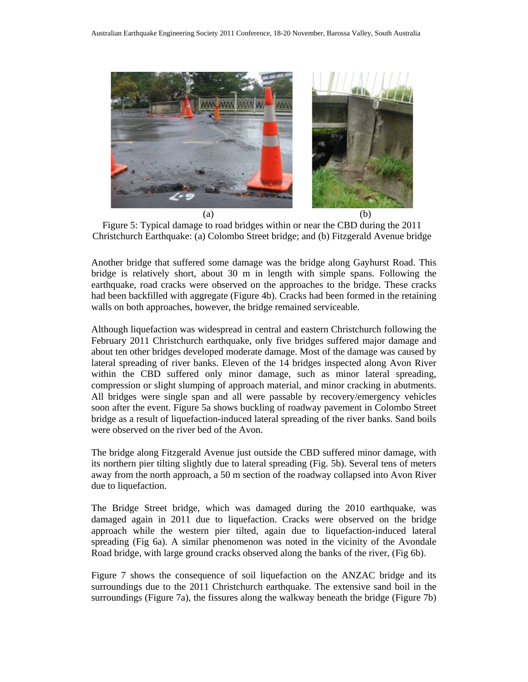



Another bridge that suffered some damage was the bridge along Gayhurst Road. This bridge is relatively short, about 30 m in length with simple spans. Following the earthquake, road cracks were observed on the approaches to the bridge. These cracks had been backfilled with aggregate (Figure 4b). Cracks had been formed in the retaining walls on both approaches, however, the bridge remained serviceable.

Although liquefaction was widespread in central and eastern Christchurch following the February 2011 Christchurch earthquake, only five bridges suffered major damage and about ten other bridges developed moderate damage. Most of the damage was caused by lateral spreading of river banks. Eleven of the 14 bridges inspected along Avon River within the CBD suffered only minor damage, such as minor lateral spreading, compression or slight slumping of approach material, and minor cracking in abutments. All bridges were single span and all were passable by recovery/emergency vehicles soon after the event. Figure 5a shows buckling of roadway pavement in Colombo Street bridge as a result of liquefaction-induced lateral spreading of the river banks. Sand boils were observed on the river bed of the Avon.

The bridge along Fitzgerald Avenue just outside the CBD suffered minor damage, with its northern pier tilting slightly due to lateral spreading (Fig. 5b). Several tens of meters away from the north approach, a 50 m section of the roadway collapsed into Avon River due to liquefaction.

The Bridge Street bridge, which was damaged during the 2010 earthquake, was damaged again in 2011 due to liquefaction. Cracks were observed on the bridge approach while the western pier tilted, again due to liquefaction-induced lateral spreading (Fig 6a). A similar phenomenon was noted in the vicinity of the Avondale Road bridge, with large ground cracks observed along the banks of the river, (Fig 6b).

Figure 7 shows the consequence of soil liquefaction on the ANZAC bridge and its surroundings due to the 2011 Christchurch earthquake. The extensive sand boil in the surroundings (Figure 7a), the fissures along the walkway beneath the bridge (Figure 7b)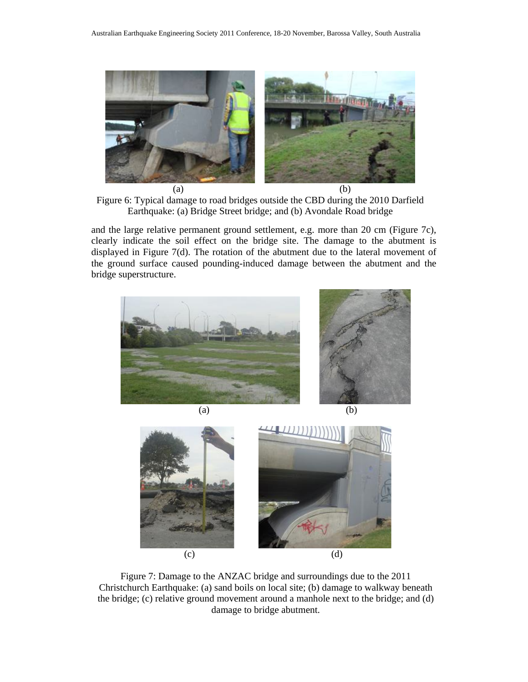

Figure 6: Typical damage to road bridges outside the CBD during the 2010 Darfield Earthquake: (a) Bridge Street bridge; and (b) Avondale Road bridge

and the large relative permanent ground settlement, e.g. more than 20 cm (Figure 7c), clearly indicate the soil effect on the bridge site. The damage to the abutment is displayed in Figure 7(d). The rotation of the abutment due to the lateral movement of the ground surface caused pounding-induced damage between the abutment and the bridge superstructure.









Figure 7: Damage to the ANZAC bridge and surroundings due to the 2011 Christchurch Earthquake: (a) sand boils on local site; (b) damage to walkway beneath the bridge; (c) relative ground movement around a manhole next to the bridge; and (d) damage to bridge abutment.